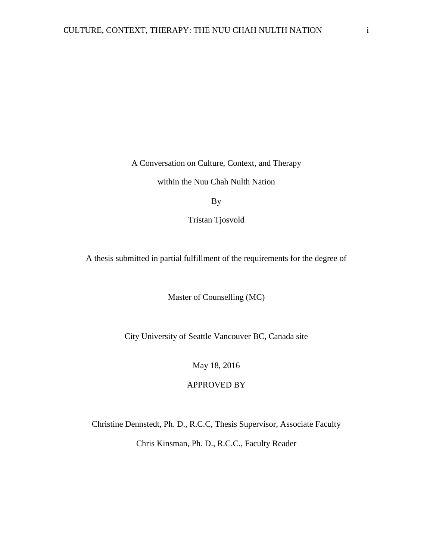A Conversation on Culture, Context, and Therapy

within the Nuu Chah Nulth Nation

By

Tristan Tjosvold

A thesis submitted in partial fulfillment of the requirements for the degree of

Master of Counselling (MC)

City University of Seattle Vancouver BC, Canada site

May 18, 2016

APPROVED BY

Christine Dennstedt, Ph. D., R.C.C, Thesis Supervisor, Associate Faculty

Chris Kinsman, Ph. D., R.C.C., Faculty Reader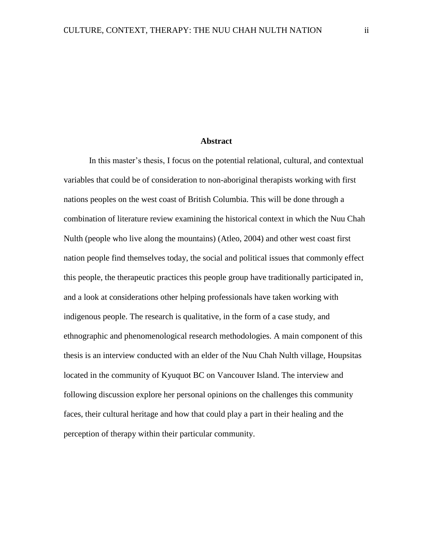# **Abstract**

In this master's thesis, I focus on the potential relational, cultural, and contextual variables that could be of consideration to non-aboriginal therapists working with first nations peoples on the west coast of British Columbia. This will be done through a combination of literature review examining the historical context in which the Nuu Chah Nulth (people who live along the mountains) (Atleo, 2004) and other west coast first nation people find themselves today, the social and political issues that commonly effect this people, the therapeutic practices this people group have traditionally participated in, and a look at considerations other helping professionals have taken working with indigenous people. The research is qualitative, in the form of a case study, and ethnographic and phenomenological research methodologies. A main component of this thesis is an interview conducted with an elder of the Nuu Chah Nulth village, Houpsitas located in the community of Kyuquot BC on Vancouver Island. The interview and following discussion explore her personal opinions on the challenges this community faces, their cultural heritage and how that could play a part in their healing and the perception of therapy within their particular community.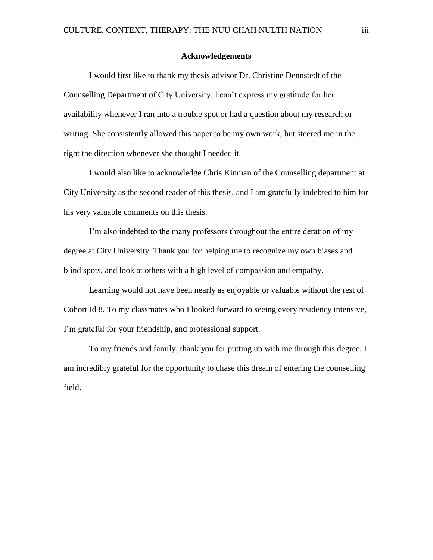### **Acknowledgements**

I would first like to thank my thesis advisor Dr. Christine Dennstedt of the Counselling Department of City University. I can't express my gratitude for her availability whenever I ran into a trouble spot or had a question about my research or writing. She consistently allowed this paper to be my own work, but steered me in the right the direction whenever she thought I needed it.

I would also like to acknowledge Chris Kinman of the Counselling department at City University as the second reader of this thesis, and I am gratefully indebted to him for his very valuable comments on this thesis.

I'm also indebted to the many professors throughout the entire deration of my degree at City University. Thank you for helping me to recognize my own biases and blind spots, and look at others with a high level of compassion and empathy.

Learning would not have been nearly as enjoyable or valuable without the rest of Cohort Id 8. To my classmates who I looked forward to seeing every residency intensive, I'm grateful for your friendship, and professional support.

To my friends and family, thank you for putting up with me through this degree. I am incredibly grateful for the opportunity to chase this dream of entering the counselling field.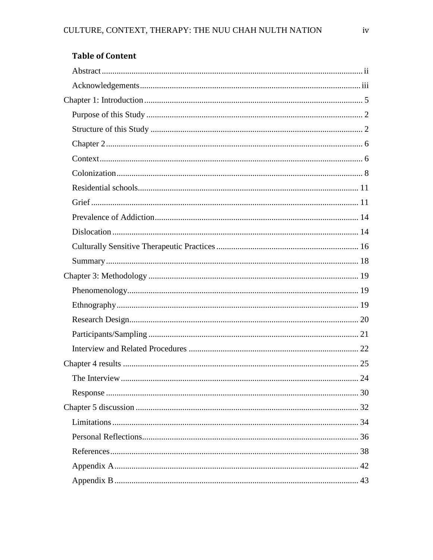| <b>Table of Content</b> |
|-------------------------|
|-------------------------|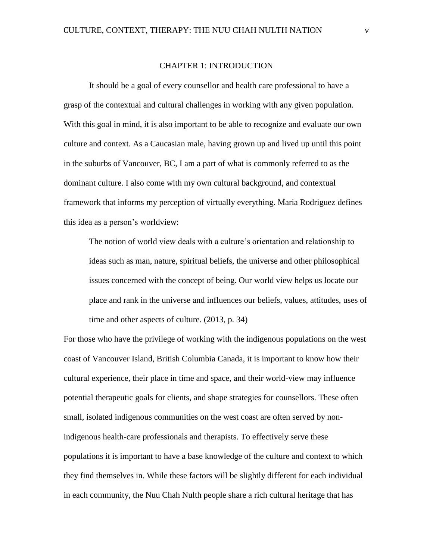#### CHAPTER 1: INTRODUCTION

It should be a goal of every counsellor and health care professional to have a grasp of the contextual and cultural challenges in working with any given population. With this goal in mind, it is also important to be able to recognize and evaluate our own culture and context. As a Caucasian male, having grown up and lived up until this point in the suburbs of Vancouver, BC, I am a part of what is commonly referred to as the dominant culture. I also come with my own cultural background, and contextual framework that informs my perception of virtually everything. Maria Rodriguez defines this idea as a person's worldview:

The notion of world view deals with a culture's orientation and relationship to ideas such as man, nature, spiritual beliefs, the universe and other philosophical issues concerned with the concept of being. Our world view helps us locate our place and rank in the universe and influences our beliefs, values, attitudes, uses of time and other aspects of culture. (2013, p. 34)

For those who have the privilege of working with the indigenous populations on the west coast of Vancouver Island, British Columbia Canada, it is important to know how their cultural experience, their place in time and space, and their world-view may influence potential therapeutic goals for clients, and shape strategies for counsellors. These often small, isolated indigenous communities on the west coast are often served by nonindigenous health-care professionals and therapists. To effectively serve these populations it is important to have a base knowledge of the culture and context to which they find themselves in. While these factors will be slightly different for each individual in each community, the Nuu Chah Nulth people share a rich cultural heritage that has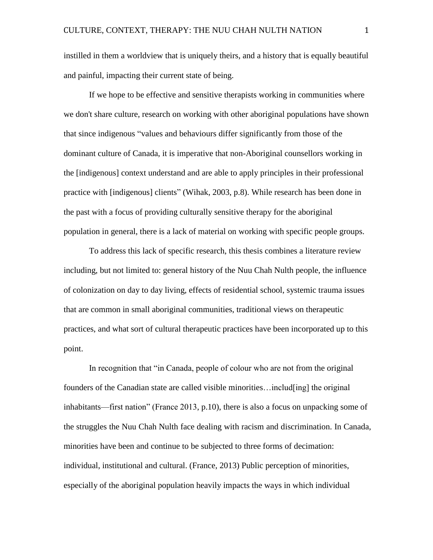instilled in them a worldview that is uniquely theirs, and a history that is equally beautiful and painful, impacting their current state of being.

If we hope to be effective and sensitive therapists working in communities where we don't share culture, research on working with other aboriginal populations have shown that since indigenous "values and behaviours differ significantly from those of the dominant culture of Canada, it is imperative that non-Aboriginal counsellors working in the [indigenous] context understand and are able to apply principles in their professional practice with [indigenous] clients" (Wihak, 2003, p.8). While research has been done in the past with a focus of providing culturally sensitive therapy for the aboriginal population in general, there is a lack of material on working with specific people groups.

To address this lack of specific research, this thesis combines a literature review including, but not limited to: general history of the Nuu Chah Nulth people, the influence of colonization on day to day living, effects of residential school, systemic trauma issues that are common in small aboriginal communities, traditional views on therapeutic practices, and what sort of cultural therapeutic practices have been incorporated up to this point.

In recognition that "in Canada, people of colour who are not from the original founders of the Canadian state are called visible minorities…includ[ing] the original inhabitants—first nation" (France 2013, p.10), there is also a focus on unpacking some of the struggles the Nuu Chah Nulth face dealing with racism and discrimination. In Canada, minorities have been and continue to be subjected to three forms of decimation: individual, institutional and cultural. (France, 2013) Public perception of minorities, especially of the aboriginal population heavily impacts the ways in which individual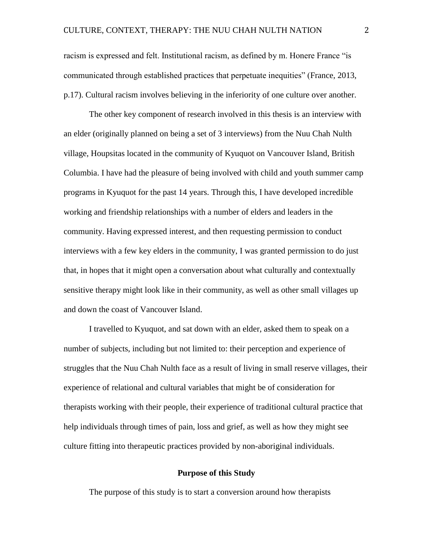racism is expressed and felt. Institutional racism, as defined by m. Honere France "is communicated through established practices that perpetuate inequities" (France, 2013, p.17). Cultural racism involves believing in the inferiority of one culture over another.

The other key component of research involved in this thesis is an interview with an elder (originally planned on being a set of 3 interviews) from the Nuu Chah Nulth village, Houpsitas located in the community of Kyuquot on Vancouver Island, British Columbia. I have had the pleasure of being involved with child and youth summer camp programs in Kyuquot for the past 14 years. Through this, I have developed incredible working and friendship relationships with a number of elders and leaders in the community. Having expressed interest, and then requesting permission to conduct interviews with a few key elders in the community, I was granted permission to do just that, in hopes that it might open a conversation about what culturally and contextually sensitive therapy might look like in their community, as well as other small villages up and down the coast of Vancouver Island.

I travelled to Kyuquot, and sat down with an elder, asked them to speak on a number of subjects, including but not limited to: their perception and experience of struggles that the Nuu Chah Nulth face as a result of living in small reserve villages, their experience of relational and cultural variables that might be of consideration for therapists working with their people, their experience of traditional cultural practice that help individuals through times of pain, loss and grief, as well as how they might see culture fitting into therapeutic practices provided by non-aboriginal individuals.

# **Purpose of this Study**

The purpose of this study is to start a conversion around how therapists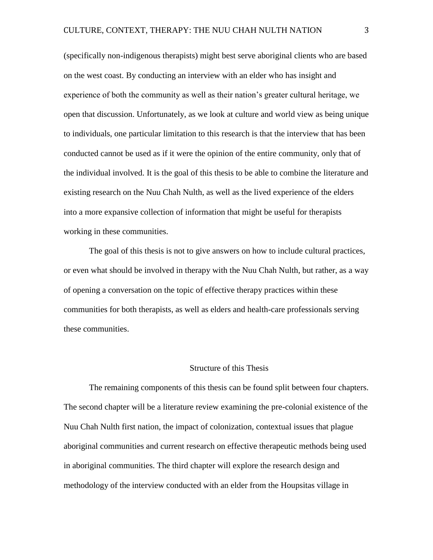(specifically non-indigenous therapists) might best serve aboriginal clients who are based on the west coast. By conducting an interview with an elder who has insight and experience of both the community as well as their nation's greater cultural heritage, we open that discussion. Unfortunately, as we look at culture and world view as being unique to individuals, one particular limitation to this research is that the interview that has been conducted cannot be used as if it were the opinion of the entire community, only that of the individual involved. It is the goal of this thesis to be able to combine the literature and existing research on the Nuu Chah Nulth, as well as the lived experience of the elders into a more expansive collection of information that might be useful for therapists working in these communities.

The goal of this thesis is not to give answers on how to include cultural practices, or even what should be involved in therapy with the Nuu Chah Nulth, but rather, as a way of opening a conversation on the topic of effective therapy practices within these communities for both therapists, as well as elders and health-care professionals serving these communities.

# Structure of this Thesis

The remaining components of this thesis can be found split between four chapters. The second chapter will be a literature review examining the pre-colonial existence of the Nuu Chah Nulth first nation, the impact of colonization, contextual issues that plague aboriginal communities and current research on effective therapeutic methods being used in aboriginal communities. The third chapter will explore the research design and methodology of the interview conducted with an elder from the Houpsitas village in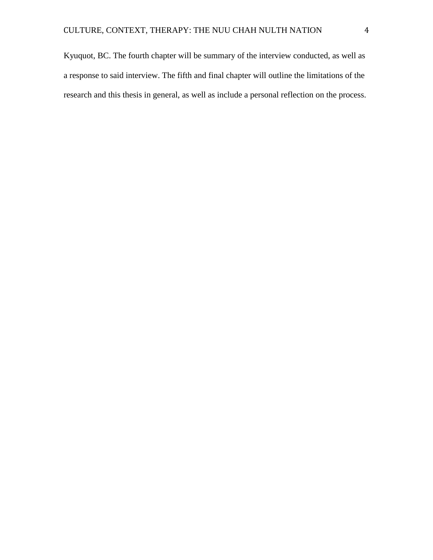Kyuquot, BC. The fourth chapter will be summary of the interview conducted, as well as a response to said interview. The fifth and final chapter will outline the limitations of the research and this thesis in general, as well as include a personal reflection on the process.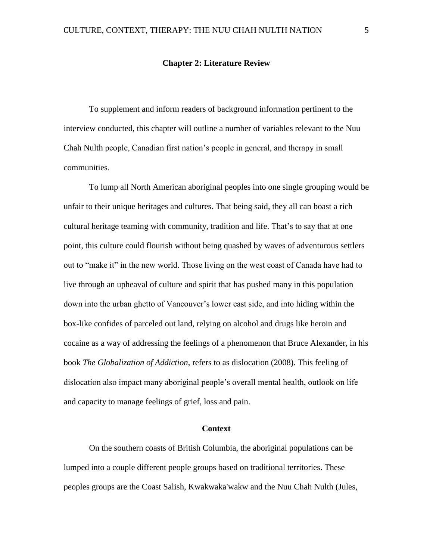# **Chapter 2: Literature Review**

To supplement and inform readers of background information pertinent to the interview conducted, this chapter will outline a number of variables relevant to the Nuu Chah Nulth people, Canadian first nation's people in general, and therapy in small communities.

To lump all North American aboriginal peoples into one single grouping would be unfair to their unique heritages and cultures. That being said, they all can boast a rich cultural heritage teaming with community, tradition and life. That's to say that at one point, this culture could flourish without being quashed by waves of adventurous settlers out to "make it" in the new world. Those living on the west coast of Canada have had to live through an upheaval of culture and spirit that has pushed many in this population down into the urban ghetto of Vancouver's lower east side, and into hiding within the box-like confides of parceled out land, relying on alcohol and drugs like heroin and cocaine as a way of addressing the feelings of a phenomenon that Bruce Alexander, in his book *The Globalization of Addiction*, refers to as dislocation (2008). This feeling of dislocation also impact many aboriginal people's overall mental health, outlook on life and capacity to manage feelings of grief, loss and pain.

# **Context**

On the southern coasts of British Columbia, the aboriginal populations can be lumped into a couple different people groups based on traditional territories. These peoples groups are the Coast Salish, Kwakwaka'wakw and the Nuu Chah Nulth (Jules,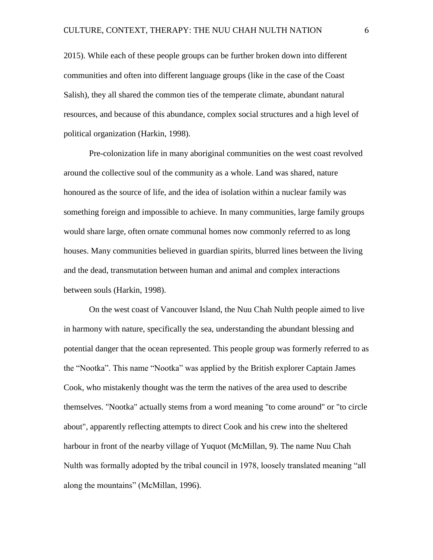2015). While each of these people groups can be further broken down into different communities and often into different language groups (like in the case of the Coast Salish), they all shared the common ties of the temperate climate, abundant natural resources, and because of this abundance, complex social structures and a high level of political organization (Harkin, 1998).

Pre-colonization life in many aboriginal communities on the west coast revolved around the collective soul of the community as a whole. Land was shared, nature honoured as the source of life, and the idea of isolation within a nuclear family was something foreign and impossible to achieve. In many communities, large family groups would share large, often ornate communal homes now commonly referred to as long houses. Many communities believed in guardian spirits, blurred lines between the living and the dead, transmutation between human and animal and complex interactions between souls (Harkin, 1998).

On the west coast of Vancouver Island, the Nuu Chah Nulth people aimed to live in harmony with nature, specifically the sea, understanding the abundant blessing and potential danger that the ocean represented. This people group was formerly referred to as the "Nootka". This name "Nootka" was applied by the British explorer Captain James Cook, who mistakenly thought was the term the natives of the area used to describe themselves. "Nootka" actually stems from a word meaning "to come around" or "to circle about", apparently reflecting attempts to direct Cook and his crew into the sheltered harbour in front of the nearby village of Yuquot (McMillan, 9). The name Nuu Chah Nulth was formally adopted by the tribal council in 1978, loosely translated meaning "all along the mountains" (McMillan, 1996).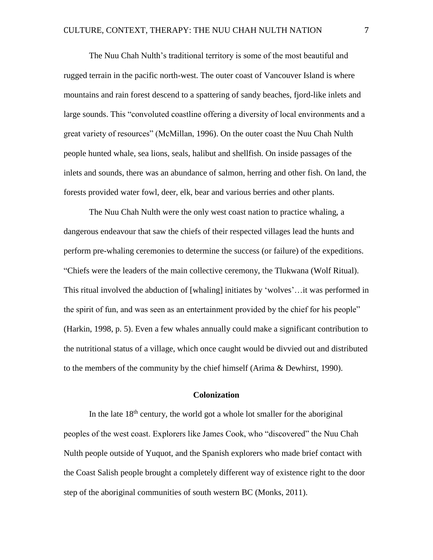The Nuu Chah Nulth's traditional territory is some of the most beautiful and rugged terrain in the pacific north-west. The outer coast of Vancouver Island is where mountains and rain forest descend to a spattering of sandy beaches, fjord-like inlets and large sounds. This "convoluted coastline offering a diversity of local environments and a great variety of resources" (McMillan, 1996). On the outer coast the Nuu Chah Nulth people hunted whale, sea lions, seals, halibut and shellfish. On inside passages of the inlets and sounds, there was an abundance of salmon, herring and other fish. On land, the forests provided water fowl, deer, elk, bear and various berries and other plants.

The Nuu Chah Nulth were the only west coast nation to practice whaling, a dangerous endeavour that saw the chiefs of their respected villages lead the hunts and perform pre-whaling ceremonies to determine the success (or failure) of the expeditions. "Chiefs were the leaders of the main collective ceremony, the Tlukwana (Wolf Ritual). This ritual involved the abduction of [whaling] initiates by 'wolves'…it was performed in the spirit of fun, and was seen as an entertainment provided by the chief for his people" (Harkin, 1998, p. 5). Even a few whales annually could make a significant contribution to the nutritional status of a village, which once caught would be divvied out and distributed to the members of the community by the chief himself (Arima & Dewhirst, 1990).

# **Colonization**

In the late  $18<sup>th</sup>$  century, the world got a whole lot smaller for the aboriginal peoples of the west coast. Explorers like James Cook, who "discovered" the Nuu Chah Nulth people outside of Yuquot, and the Spanish explorers who made brief contact with the Coast Salish people brought a completely different way of existence right to the door step of the aboriginal communities of south western BC (Monks, 2011).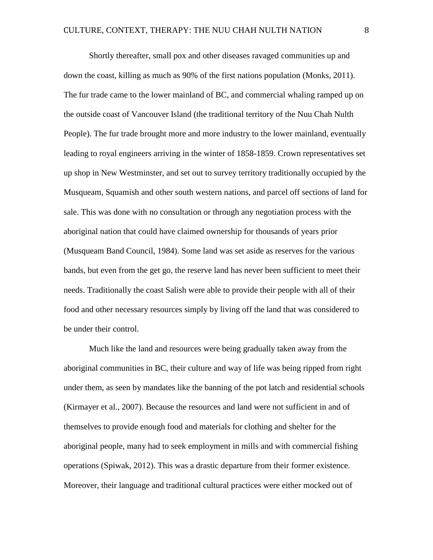Shortly thereafter, small pox and other diseases ravaged communities up and down the coast, killing as much as 90% of the first nations population (Monks, 2011). The fur trade came to the lower mainland of BC, and commercial whaling ramped up on the outside coast of Vancouver Island (the traditional territory of the Nuu Chah Nulth People). The fur trade brought more and more industry to the lower mainland, eventually leading to royal engineers arriving in the winter of 1858-1859. Crown representatives set up shop in New Westminster, and set out to survey territory traditionally occupied by the Musqueam, Squamish and other south western nations, and parcel off sections of land for sale. This was done with no consultation or through any negotiation process with the aboriginal nation that could have claimed ownership for thousands of years prior (Musqueam Band Council, 1984). Some land was set aside as reserves for the various bands, but even from the get go, the reserve land has never been sufficient to meet their needs. Traditionally the coast Salish were able to provide their people with all of their food and other necessary resources simply by living off the land that was considered to be under their control.

Much like the land and resources were being gradually taken away from the aboriginal communities in BC, their culture and way of life was being ripped from right under them, as seen by mandates like the banning of the pot latch and residential schools (Kirmayer et al., 2007). Because the resources and land were not sufficient in and of themselves to provide enough food and materials for clothing and shelter for the aboriginal people, many had to seek employment in mills and with commercial fishing operations (Spiwak, 2012). This was a drastic departure from their former existence. Moreover, their language and traditional cultural practices were either mocked out of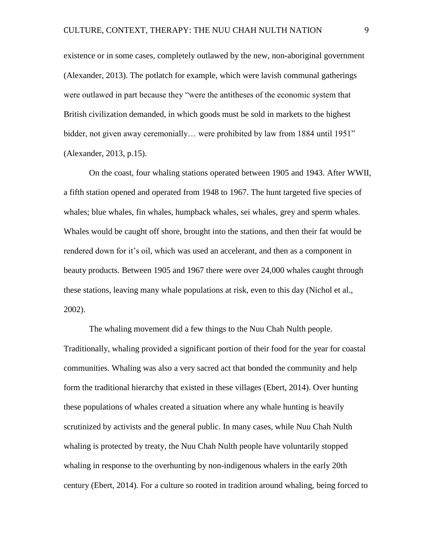existence or in some cases, completely outlawed by the new, non-aboriginal government (Alexander, 2013). The potlatch for example, which were lavish communal gatherings were outlawed in part because they "were the antitheses of the economic system that British civilization demanded, in which goods must be sold in markets to the highest bidder, not given away ceremonially... were prohibited by law from 1884 until 1951" (Alexander, 2013, p.15).

On the coast, four whaling stations operated between 1905 and 1943. After WWII, a fifth station opened and operated from 1948 to 1967. The hunt targeted five species of whales; blue whales, fin whales, humpback whales, sei whales, grey and sperm whales. Whales would be caught off shore, brought into the stations, and then their fat would be rendered down for it's oil, which was used an accelerant, and then as a component in beauty products. Between 1905 and 1967 there were over 24,000 whales caught through these stations, leaving many whale populations at risk, even to this day (Nichol et al., 2002).

The whaling movement did a few things to the Nuu Chah Nulth people. Traditionally, whaling provided a significant portion of their food for the year for coastal communities. Whaling was also a very sacred act that bonded the community and help form the traditional hierarchy that existed in these villages (Ebert, 2014). Over hunting these populations of whales created a situation where any whale hunting is heavily scrutinized by activists and the general public. In many cases, while Nuu Chah Nulth whaling is protected by treaty, the Nuu Chah Nulth people have voluntarily stopped whaling in response to the overhunting by non-indigenous whalers in the early 20th century (Ebert, 2014). For a culture so rooted in tradition around whaling, being forced to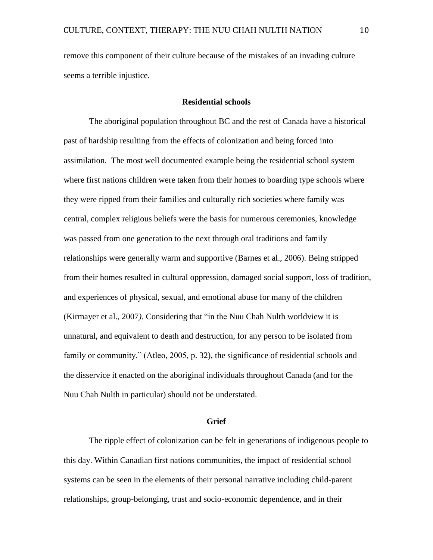remove this component of their culture because of the mistakes of an invading culture seems a terrible injustice.

# **Residential schools**

The aboriginal population throughout BC and the rest of Canada have a historical past of hardship resulting from the effects of colonization and being forced into assimilation. The most well documented example being the residential school system where first nations children were taken from their homes to boarding type schools where they were ripped from their families and culturally rich societies where family was central, complex religious beliefs were the basis for numerous ceremonies, knowledge was passed from one generation to the next through oral traditions and family relationships were generally warm and supportive (Barnes et al., 2006). Being stripped from their homes resulted in cultural oppression, damaged social support, loss of tradition, and experiences of physical, sexual, and emotional abuse for many of the children (Kirmayer et al., 2007*).* Considering that "in the Nuu Chah Nulth worldview it is unnatural, and equivalent to death and destruction, for any person to be isolated from family or community." (Atleo, 2005, p. 32), the significance of residential schools and the disservice it enacted on the aboriginal individuals throughout Canada (and for the Nuu Chah Nulth in particular) should not be understated.

### **Grief**

The ripple effect of colonization can be felt in generations of indigenous people to this day. Within Canadian first nations communities, the impact of residential school systems can be seen in the elements of their personal narrative including child-parent relationships, group-belonging, trust and socio-economic dependence, and in their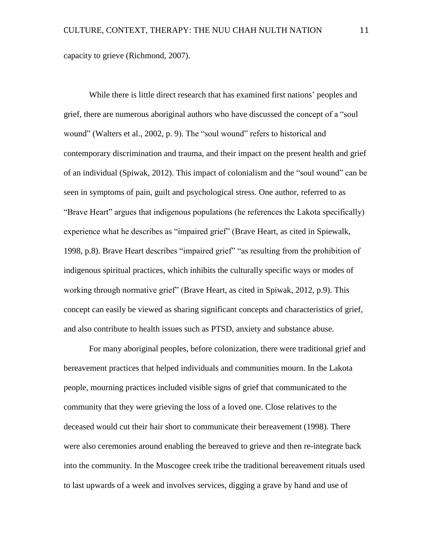capacity to grieve (Richmond, 2007).

While there is little direct research that has examined first nations' peoples and grief, there are numerous aboriginal authors who have discussed the concept of a "soul wound" (Walters et al., 2002, p. 9). The "soul wound" refers to historical and contemporary discrimination and trauma, and their impact on the present health and grief of an individual (Spiwak, 2012). This impact of colonialism and the "soul wound" can be seen in symptoms of pain, guilt and psychological stress. One author, referred to as "Brave Heart" argues that indigenous populations (he references the Lakota specifically) experience what he describes as "impaired grief" (Brave Heart, as cited in Spiewalk, 1998, p.8). Brave Heart describes "impaired grief" "as resulting from the prohibition of indigenous spiritual practices, which inhibits the culturally specific ways or modes of working through normative grief" (Brave Heart, as cited in Spiwak, 2012, p.9). This concept can easily be viewed as sharing significant concepts and characteristics of grief, and also contribute to health issues such as PTSD, anxiety and substance abuse.

For many aboriginal peoples, before colonization, there were traditional grief and bereavement practices that helped individuals and communities mourn. In the Lakota people, mourning practices included visible signs of grief that communicated to the community that they were grieving the loss of a loved one. Close relatives to the deceased would cut their hair short to communicate their bereavement (1998). There were also ceremonies around enabling the bereaved to grieve and then re-integrate back into the community. In the Muscogee creek tribe the traditional bereavement rituals used to last upwards of a week and involves services, digging a grave by hand and use of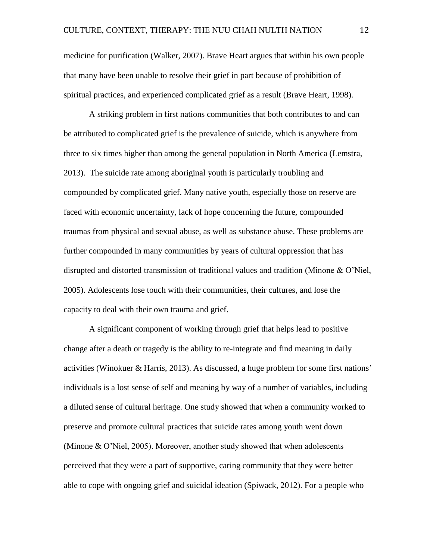medicine for purification (Walker, 2007). Brave Heart argues that within his own people that many have been unable to resolve their grief in part because of prohibition of spiritual practices, and experienced complicated grief as a result (Brave Heart, 1998).

A striking problem in first nations communities that both contributes to and can be attributed to complicated grief is the prevalence of suicide, which is anywhere from three to six times higher than among the general population in North America (Lemstra, 2013). The suicide rate among aboriginal youth is particularly troubling and compounded by complicated grief. Many native youth, especially those on reserve are faced with economic uncertainty, lack of hope concerning the future, compounded traumas from physical and sexual abuse, as well as substance abuse. These problems are further compounded in many communities by years of cultural oppression that has disrupted and distorted transmission of traditional values and tradition (Minone & O'Niel, 2005). Adolescents lose touch with their communities, their cultures, and lose the capacity to deal with their own trauma and grief.

A significant component of working through grief that helps lead to positive change after a death or tragedy is the ability to re-integrate and find meaning in daily activities (Winokuer & Harris, 2013). As discussed, a huge problem for some first nations' individuals is a lost sense of self and meaning by way of a number of variables, including a diluted sense of cultural heritage. One study showed that when a community worked to preserve and promote cultural practices that suicide rates among youth went down (Minone & O'Niel, 2005). Moreover, another study showed that when adolescents perceived that they were a part of supportive, caring community that they were better able to cope with ongoing grief and suicidal ideation (Spiwack, 2012). For a people who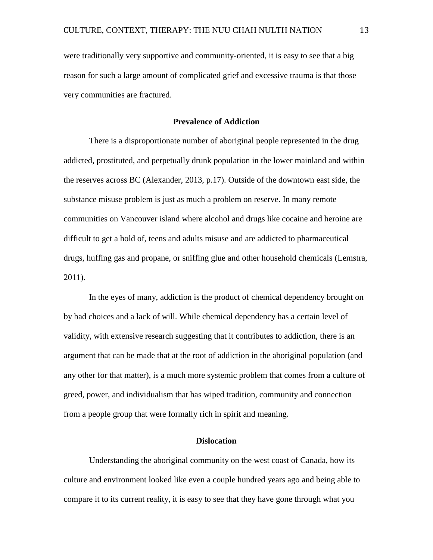were traditionally very supportive and community-oriented, it is easy to see that a big reason for such a large amount of complicated grief and excessive trauma is that those very communities are fractured.

# **Prevalence of Addiction**

There is a disproportionate number of aboriginal people represented in the drug addicted, prostituted, and perpetually drunk population in the lower mainland and within the reserves across BC (Alexander, 2013, p.17). Outside of the downtown east side, the substance misuse problem is just as much a problem on reserve. In many remote communities on Vancouver island where alcohol and drugs like cocaine and heroine are difficult to get a hold of, teens and adults misuse and are addicted to pharmaceutical drugs, huffing gas and propane, or sniffing glue and other household chemicals (Lemstra, 2011).

In the eyes of many, addiction is the product of chemical dependency brought on by bad choices and a lack of will. While chemical dependency has a certain level of validity, with extensive research suggesting that it contributes to addiction, there is an argument that can be made that at the root of addiction in the aboriginal population (and any other for that matter), is a much more systemic problem that comes from a culture of greed, power, and individualism that has wiped tradition, community and connection from a people group that were formally rich in spirit and meaning.

# **Dislocation**

Understanding the aboriginal community on the west coast of Canada, how its culture and environment looked like even a couple hundred years ago and being able to compare it to its current reality, it is easy to see that they have gone through what you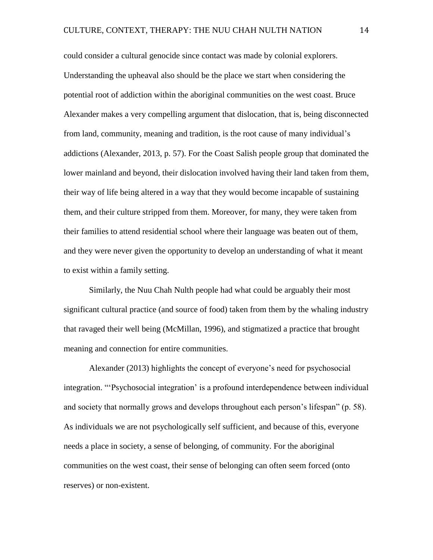could consider a cultural genocide since contact was made by colonial explorers. Understanding the upheaval also should be the place we start when considering the potential root of addiction within the aboriginal communities on the west coast. Bruce Alexander makes a very compelling argument that dislocation, that is, being disconnected from land, community, meaning and tradition, is the root cause of many individual's addictions (Alexander, 2013, p. 57). For the Coast Salish people group that dominated the lower mainland and beyond, their dislocation involved having their land taken from them, their way of life being altered in a way that they would become incapable of sustaining them, and their culture stripped from them. Moreover, for many, they were taken from their families to attend residential school where their language was beaten out of them, and they were never given the opportunity to develop an understanding of what it meant to exist within a family setting.

Similarly, the Nuu Chah Nulth people had what could be arguably their most significant cultural practice (and source of food) taken from them by the whaling industry that ravaged their well being (McMillan, 1996), and stigmatized a practice that brought meaning and connection for entire communities.

Alexander (2013) highlights the concept of everyone's need for psychosocial integration. "'Psychosocial integration' is a profound interdependence between individual and society that normally grows and develops throughout each person's lifespan" (p. 58). As individuals we are not psychologically self sufficient, and because of this, everyone needs a place in society, a sense of belonging, of community. For the aboriginal communities on the west coast, their sense of belonging can often seem forced (onto reserves) or non-existent.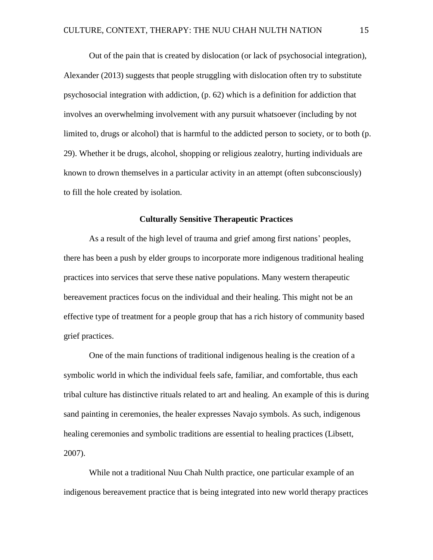Out of the pain that is created by dislocation (or lack of psychosocial integration), Alexander (2013) suggests that people struggling with dislocation often try to substitute psychosocial integration with addiction, (p. 62) which is a definition for addiction that involves an overwhelming involvement with any pursuit whatsoever (including by not limited to, drugs or alcohol) that is harmful to the addicted person to society, or to both (p. 29). Whether it be drugs, alcohol, shopping or religious zealotry, hurting individuals are known to drown themselves in a particular activity in an attempt (often subconsciously) to fill the hole created by isolation.

### **Culturally Sensitive Therapeutic Practices**

As a result of the high level of trauma and grief among first nations' peoples, there has been a push by elder groups to incorporate more indigenous traditional healing practices into services that serve these native populations. Many western therapeutic bereavement practices focus on the individual and their healing. This might not be an effective type of treatment for a people group that has a rich history of community based grief practices.

One of the main functions of traditional indigenous healing is the creation of a symbolic world in which the individual feels safe, familiar, and comfortable, thus each tribal culture has distinctive rituals related to art and healing. An example of this is during sand painting in ceremonies, the healer expresses Navajo symbols. As such, indigenous healing ceremonies and symbolic traditions are essential to healing practices (Libsett, 2007).

While not a traditional Nuu Chah Nulth practice, one particular example of an indigenous bereavement practice that is being integrated into new world therapy practices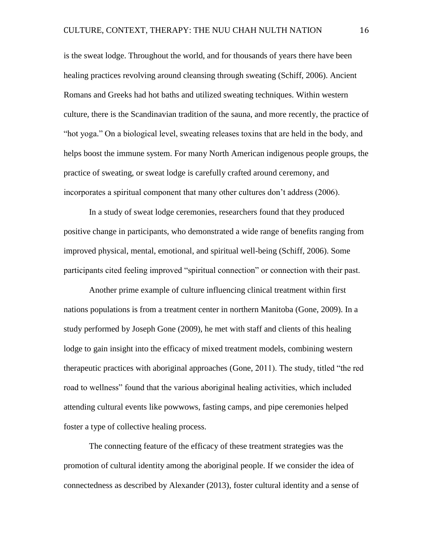is the sweat lodge. Throughout the world, and for thousands of years there have been healing practices revolving around cleansing through sweating (Schiff, 2006). Ancient Romans and Greeks had hot baths and utilized sweating techniques. Within western culture, there is the Scandinavian tradition of the sauna, and more recently, the practice of "hot yoga." On a biological level, sweating releases toxins that are held in the body, and helps boost the immune system. For many North American indigenous people groups, the practice of sweating, or sweat lodge is carefully crafted around ceremony, and incorporates a spiritual component that many other cultures don't address (2006).

In a study of sweat lodge ceremonies, researchers found that they produced positive change in participants, who demonstrated a wide range of benefits ranging from improved physical, mental, emotional, and spiritual well-being (Schiff, 2006). Some participants cited feeling improved "spiritual connection" or connection with their past.

Another prime example of culture influencing clinical treatment within first nations populations is from a treatment center in northern Manitoba (Gone, 2009). In a study performed by Joseph Gone (2009), he met with staff and clients of this healing lodge to gain insight into the efficacy of mixed treatment models, combining western therapeutic practices with aboriginal approaches (Gone, 2011). The study, titled "the red road to wellness" found that the various aboriginal healing activities, which included attending cultural events like powwows, fasting camps, and pipe ceremonies helped foster a type of collective healing process.

The connecting feature of the efficacy of these treatment strategies was the promotion of cultural identity among the aboriginal people. If we consider the idea of connectedness as described by Alexander (2013), foster cultural identity and a sense of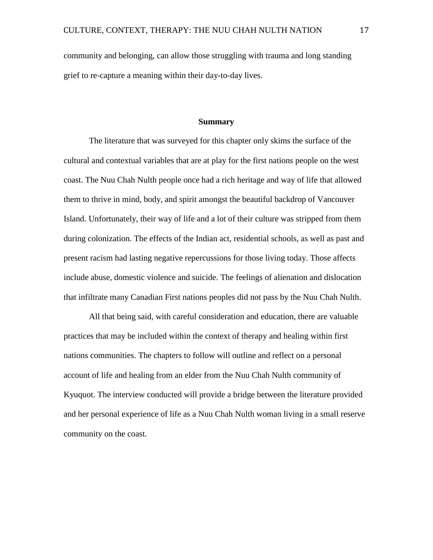community and belonging, can allow those struggling with trauma and long standing grief to re-capture a meaning within their day-to-day lives.

### **Summary**

The literature that was surveyed for this chapter only skims the surface of the cultural and contextual variables that are at play for the first nations people on the west coast. The Nuu Chah Nulth people once had a rich heritage and way of life that allowed them to thrive in mind, body, and spirit amongst the beautiful backdrop of Vancouver Island. Unfortunately, their way of life and a lot of their culture was stripped from them during colonization. The effects of the Indian act, residential schools, as well as past and present racism had lasting negative repercussions for those living today. Those affects include abuse, domestic violence and suicide. The feelings of alienation and dislocation that infiltrate many Canadian First nations peoples did not pass by the Nuu Chah Nulth.

All that being said, with careful consideration and education, there are valuable practices that may be included within the context of therapy and healing within first nations communities. The chapters to follow will outline and reflect on a personal account of life and healing from an elder from the Nuu Chah Nulth community of Kyuquot. The interview conducted will provide a bridge between the literature provided and her personal experience of life as a Nuu Chah Nulth woman living in a small reserve community on the coast.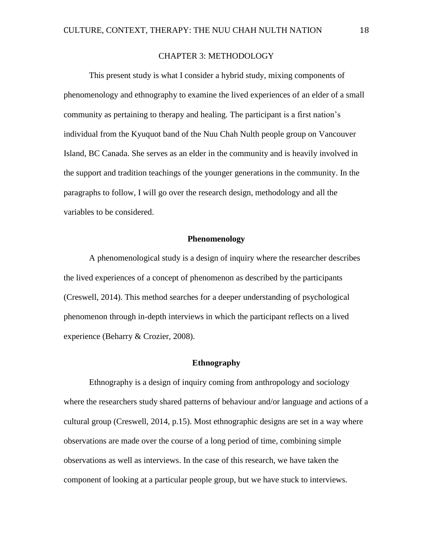# CHAPTER 3: METHODOLOGY

This present study is what I consider a hybrid study, mixing components of phenomenology and ethnography to examine the lived experiences of an elder of a small community as pertaining to therapy and healing. The participant is a first nation's individual from the Kyuquot band of the Nuu Chah Nulth people group on Vancouver Island, BC Canada. She serves as an elder in the community and is heavily involved in the support and tradition teachings of the younger generations in the community. In the paragraphs to follow, I will go over the research design, methodology and all the variables to be considered.

## **Phenomenology**

A phenomenological study is a design of inquiry where the researcher describes the lived experiences of a concept of phenomenon as described by the participants (Creswell, 2014). This method searches for a deeper understanding of psychological phenomenon through in-depth interviews in which the participant reflects on a lived experience (Beharry & Crozier, 2008).

# **Ethnography**

Ethnography is a design of inquiry coming from anthropology and sociology where the researchers study shared patterns of behaviour and/or language and actions of a cultural group (Creswell, 2014, p.15). Most ethnographic designs are set in a way where observations are made over the course of a long period of time, combining simple observations as well as interviews. In the case of this research, we have taken the component of looking at a particular people group, but we have stuck to interviews.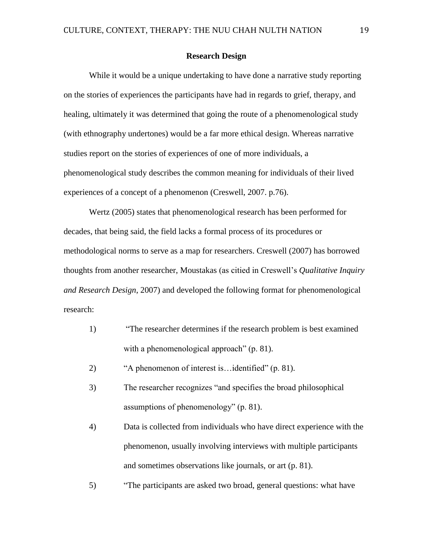### **Research Design**

While it would be a unique undertaking to have done a narrative study reporting on the stories of experiences the participants have had in regards to grief, therapy, and healing, ultimately it was determined that going the route of a phenomenological study (with ethnography undertones) would be a far more ethical design. Whereas narrative studies report on the stories of experiences of one of more individuals, a phenomenological study describes the common meaning for individuals of their lived experiences of a concept of a phenomenon (Creswell, 2007. p.76).

Wertz (2005) states that phenomenological research has been performed for decades, that being said, the field lacks a formal process of its procedures or methodological norms to serve as a map for researchers. Creswell (2007) has borrowed thoughts from another researcher, Moustakas (as citied in Creswell's *Qualitative Inquiry and Research Design*, 2007) and developed the following format for phenomenological research:

- 1) "The researcher determines if the research problem is best examined with a phenomenological approach" (p. 81).
- 2) "A phenomenon of interest is…identified" (p. 81).
- 3) The researcher recognizes "and specifies the broad philosophical assumptions of phenomenology" (p. 81).
- 4) Data is collected from individuals who have direct experience with the phenomenon, usually involving interviews with multiple participants and sometimes observations like journals, or art (p. 81).
- 5) "The participants are asked two broad, general questions: what have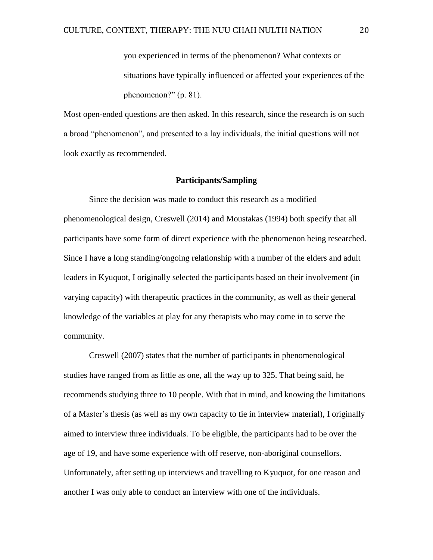you experienced in terms of the phenomenon? What contexts or situations have typically influenced or affected your experiences of the phenomenon?" (p. 81).

Most open-ended questions are then asked. In this research, since the research is on such a broad "phenomenon", and presented to a lay individuals, the initial questions will not look exactly as recommended.

### **Participants/Sampling**

Since the decision was made to conduct this research as a modified phenomenological design, Creswell (2014) and Moustakas (1994) both specify that all participants have some form of direct experience with the phenomenon being researched. Since I have a long standing/ongoing relationship with a number of the elders and adult leaders in Kyuquot, I originally selected the participants based on their involvement (in varying capacity) with therapeutic practices in the community, as well as their general knowledge of the variables at play for any therapists who may come in to serve the community.

Creswell (2007) states that the number of participants in phenomenological studies have ranged from as little as one, all the way up to 325. That being said, he recommends studying three to 10 people. With that in mind, and knowing the limitations of a Master's thesis (as well as my own capacity to tie in interview material), I originally aimed to interview three individuals. To be eligible, the participants had to be over the age of 19, and have some experience with off reserve, non-aboriginal counsellors. Unfortunately, after setting up interviews and travelling to Kyuquot, for one reason and another I was only able to conduct an interview with one of the individuals.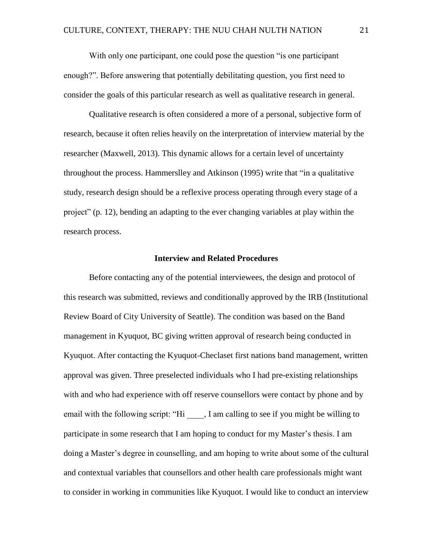With only one participant, one could pose the question "is one participant" enough?". Before answering that potentially debilitating question, you first need to consider the goals of this particular research as well as qualitative research in general.

Qualitative research is often considered a more of a personal, subjective form of research, because it often relies heavily on the interpretation of interview material by the researcher (Maxwell, 2013). This dynamic allows for a certain level of uncertainty throughout the process. Hammerslley and Atkinson (1995) write that "in a qualitative study, research design should be a reflexive process operating through every stage of a project" (p. 12), bending an adapting to the ever changing variables at play within the research process.

#### **Interview and Related Procedures**

Before contacting any of the potential interviewees, the design and protocol of this research was submitted, reviews and conditionally approved by the IRB (Institutional Review Board of City University of Seattle). The condition was based on the Band management in Kyuquot, BC giving written approval of research being conducted in Kyuquot. After contacting the Kyuquot-Checlaset first nations band management, written approval was given. Three preselected individuals who I had pre-existing relationships with and who had experience with off reserve counsellors were contact by phone and by email with the following script: "Hi \_\_\_\_, I am calling to see if you might be willing to participate in some research that I am hoping to conduct for my Master's thesis. I am doing a Master's degree in counselling, and am hoping to write about some of the cultural and contextual variables that counsellors and other health care professionals might want to consider in working in communities like Kyuquot. I would like to conduct an interview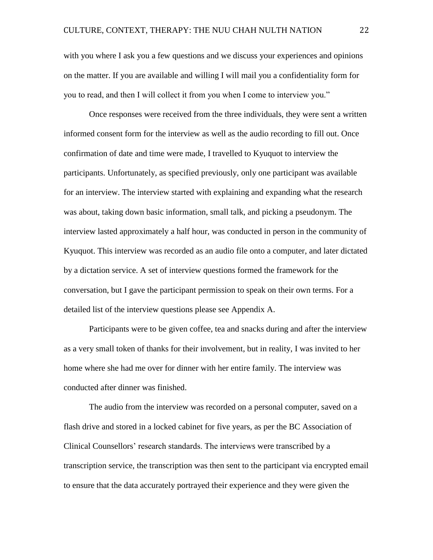with you where I ask you a few questions and we discuss your experiences and opinions on the matter. If you are available and willing I will mail you a confidentiality form for you to read, and then I will collect it from you when I come to interview you."

Once responses were received from the three individuals, they were sent a written informed consent form for the interview as well as the audio recording to fill out. Once confirmation of date and time were made, I travelled to Kyuquot to interview the participants. Unfortunately, as specified previously, only one participant was available for an interview. The interview started with explaining and expanding what the research was about, taking down basic information, small talk, and picking a pseudonym. The interview lasted approximately a half hour, was conducted in person in the community of Kyuquot. This interview was recorded as an audio file onto a computer, and later dictated by a dictation service. A set of interview questions formed the framework for the conversation, but I gave the participant permission to speak on their own terms. For a detailed list of the interview questions please see Appendix A.

Participants were to be given coffee, tea and snacks during and after the interview as a very small token of thanks for their involvement, but in reality, I was invited to her home where she had me over for dinner with her entire family. The interview was conducted after dinner was finished.

The audio from the interview was recorded on a personal computer, saved on a flash drive and stored in a locked cabinet for five years, as per the BC Association of Clinical Counsellors' research standards. The interviews were transcribed by a transcription service, the transcription was then sent to the participant via encrypted email to ensure that the data accurately portrayed their experience and they were given the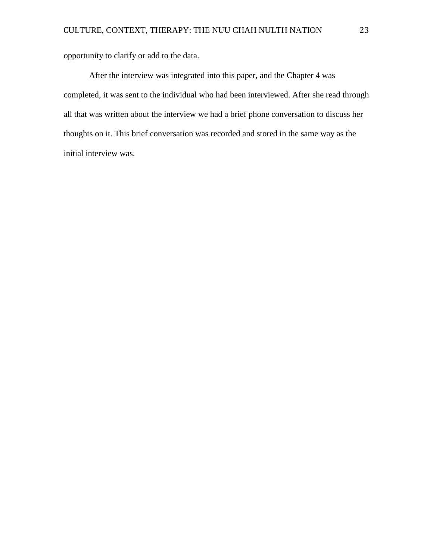opportunity to clarify or add to the data.

After the interview was integrated into this paper, and the Chapter 4 was completed, it was sent to the individual who had been interviewed. After she read through all that was written about the interview we had a brief phone conversation to discuss her thoughts on it. This brief conversation was recorded and stored in the same way as the initial interview was.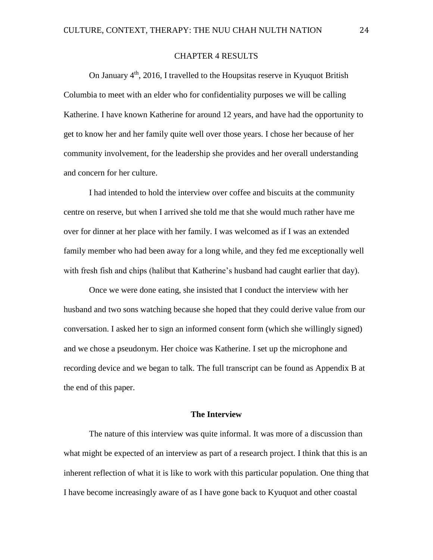# CHAPTER 4 RESULTS

On January 4<sup>th</sup>, 2016, I travelled to the Houpsitas reserve in Kyuquot British Columbia to meet with an elder who for confidentiality purposes we will be calling Katherine. I have known Katherine for around 12 years, and have had the opportunity to get to know her and her family quite well over those years. I chose her because of her community involvement, for the leadership she provides and her overall understanding and concern for her culture.

I had intended to hold the interview over coffee and biscuits at the community centre on reserve, but when I arrived she told me that she would much rather have me over for dinner at her place with her family. I was welcomed as if I was an extended family member who had been away for a long while, and they fed me exceptionally well with fresh fish and chips (halibut that Katherine's husband had caught earlier that day).

Once we were done eating, she insisted that I conduct the interview with her husband and two sons watching because she hoped that they could derive value from our conversation. I asked her to sign an informed consent form (which she willingly signed) and we chose a pseudonym. Her choice was Katherine. I set up the microphone and recording device and we began to talk. The full transcript can be found as Appendix B at the end of this paper.

#### **The Interview**

The nature of this interview was quite informal. It was more of a discussion than what might be expected of an interview as part of a research project. I think that this is an inherent reflection of what it is like to work with this particular population. One thing that I have become increasingly aware of as I have gone back to Kyuquot and other coastal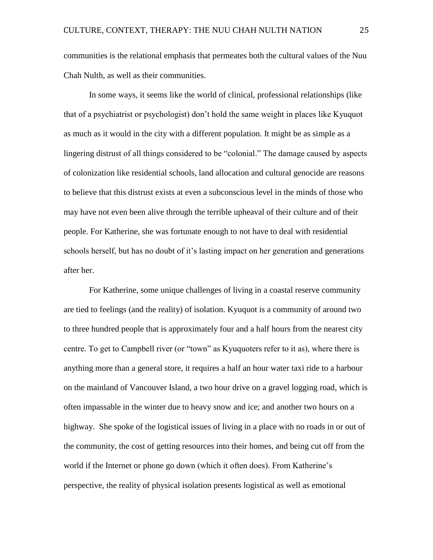communities is the relational emphasis that permeates both the cultural values of the Nuu Chah Nulth, as well as their communities.

In some ways, it seems like the world of clinical, professional relationships (like that of a psychiatrist or psychologist) don't hold the same weight in places like Kyuquot as much as it would in the city with a different population. It might be as simple as a lingering distrust of all things considered to be "colonial." The damage caused by aspects of colonization like residential schools, land allocation and cultural genocide are reasons to believe that this distrust exists at even a subconscious level in the minds of those who may have not even been alive through the terrible upheaval of their culture and of their people. For Katherine, she was fortunate enough to not have to deal with residential schools herself, but has no doubt of it's lasting impact on her generation and generations after her.

For Katherine, some unique challenges of living in a coastal reserve community are tied to feelings (and the reality) of isolation. Kyuquot is a community of around two to three hundred people that is approximately four and a half hours from the nearest city centre. To get to Campbell river (or "town" as Kyuquoters refer to it as), where there is anything more than a general store, it requires a half an hour water taxi ride to a harbour on the mainland of Vancouver Island, a two hour drive on a gravel logging road, which is often impassable in the winter due to heavy snow and ice; and another two hours on a highway. She spoke of the logistical issues of living in a place with no roads in or out of the community, the cost of getting resources into their homes, and being cut off from the world if the Internet or phone go down (which it often does). From Katherine's perspective, the reality of physical isolation presents logistical as well as emotional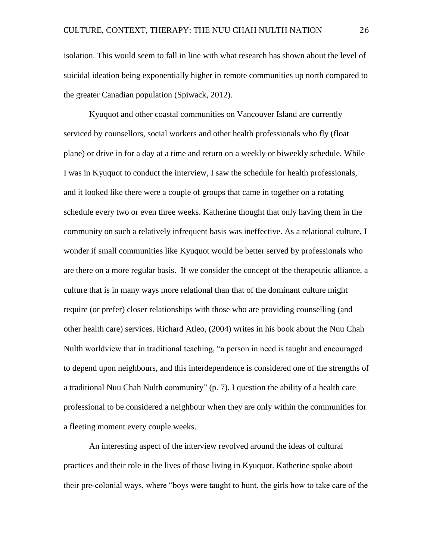isolation. This would seem to fall in line with what research has shown about the level of suicidal ideation being exponentially higher in remote communities up north compared to the greater Canadian population (Spiwack, 2012).

Kyuquot and other coastal communities on Vancouver Island are currently serviced by counsellors, social workers and other health professionals who fly (float plane) or drive in for a day at a time and return on a weekly or biweekly schedule. While I was in Kyuquot to conduct the interview, I saw the schedule for health professionals, and it looked like there were a couple of groups that came in together on a rotating schedule every two or even three weeks. Katherine thought that only having them in the community on such a relatively infrequent basis was ineffective. As a relational culture, I wonder if small communities like Kyuquot would be better served by professionals who are there on a more regular basis. If we consider the concept of the therapeutic alliance, a culture that is in many ways more relational than that of the dominant culture might require (or prefer) closer relationships with those who are providing counselling (and other health care) services. Richard Atleo, (2004) writes in his book about the Nuu Chah Nulth worldview that in traditional teaching, "a person in need is taught and encouraged to depend upon neighbours, and this interdependence is considered one of the strengths of a traditional Nuu Chah Nulth community" (p. 7). I question the ability of a health care professional to be considered a neighbour when they are only within the communities for a fleeting moment every couple weeks.

An interesting aspect of the interview revolved around the ideas of cultural practices and their role in the lives of those living in Kyuquot. Katherine spoke about their pre-colonial ways, where "boys were taught to hunt, the girls how to take care of the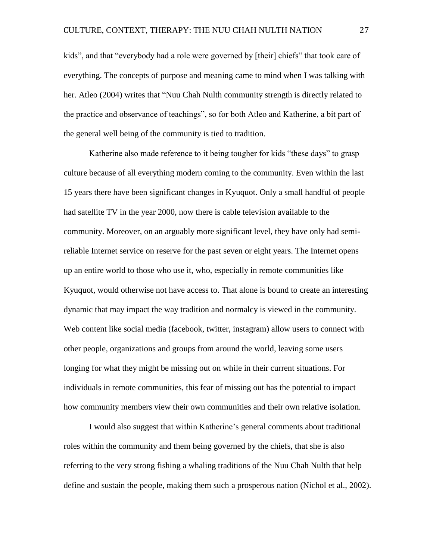kids", and that "everybody had a role were governed by [their] chiefs" that took care of everything. The concepts of purpose and meaning came to mind when I was talking with her. Atleo (2004) writes that "Nuu Chah Nulth community strength is directly related to the practice and observance of teachings", so for both Atleo and Katherine, a bit part of the general well being of the community is tied to tradition.

Katherine also made reference to it being tougher for kids "these days" to grasp culture because of all everything modern coming to the community. Even within the last 15 years there have been significant changes in Kyuquot. Only a small handful of people had satellite TV in the year 2000, now there is cable television available to the community. Moreover, on an arguably more significant level, they have only had semireliable Internet service on reserve for the past seven or eight years. The Internet opens up an entire world to those who use it, who, especially in remote communities like Kyuquot, would otherwise not have access to. That alone is bound to create an interesting dynamic that may impact the way tradition and normalcy is viewed in the community. Web content like social media (facebook, twitter, instagram) allow users to connect with other people, organizations and groups from around the world, leaving some users longing for what they might be missing out on while in their current situations. For individuals in remote communities, this fear of missing out has the potential to impact how community members view their own communities and their own relative isolation.

I would also suggest that within Katherine's general comments about traditional roles within the community and them being governed by the chiefs, that she is also referring to the very strong fishing a whaling traditions of the Nuu Chah Nulth that help define and sustain the people, making them such a prosperous nation (Nichol et al., 2002).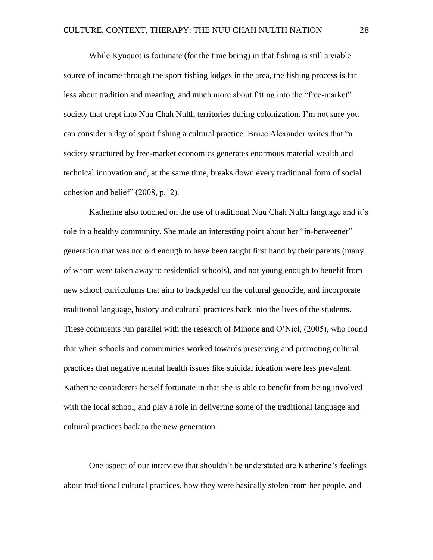While Kyuquot is fortunate (for the time being) in that fishing is still a viable source of income through the sport fishing lodges in the area, the fishing process is far less about tradition and meaning, and much more about fitting into the "free-market" society that crept into Nuu Chah Nulth territories during colonization. I'm not sure you can consider a day of sport fishing a cultural practice. Bruce Alexander writes that "a society structured by free-market economics generates enormous material wealth and technical innovation and, at the same time, breaks down every traditional form of social cohesion and belief" (2008, p.12).

Katherine also touched on the use of traditional Nuu Chah Nulth language and it's role in a healthy community. She made an interesting point about her "in-betweener" generation that was not old enough to have been taught first hand by their parents (many of whom were taken away to residential schools), and not young enough to benefit from new school curriculums that aim to backpedal on the cultural genocide, and incorporate traditional language, history and cultural practices back into the lives of the students. These comments run parallel with the research of Minone and O'Niel, (2005), who found that when schools and communities worked towards preserving and promoting cultural practices that negative mental health issues like suicidal ideation were less prevalent. Katherine considerers herself fortunate in that she is able to benefit from being involved with the local school, and play a role in delivering some of the traditional language and cultural practices back to the new generation.

One aspect of our interview that shouldn't be understated are Katherine's feelings about traditional cultural practices, how they were basically stolen from her people, and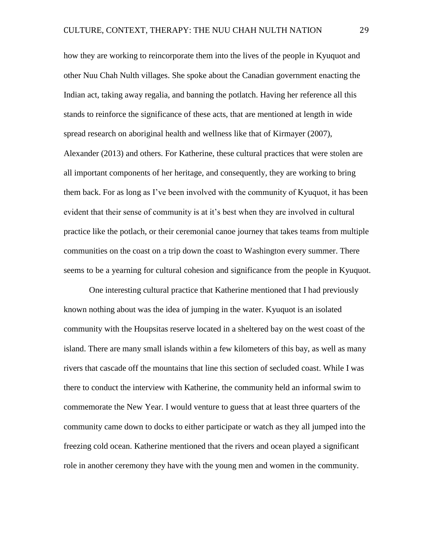how they are working to reincorporate them into the lives of the people in Kyuquot and other Nuu Chah Nulth villages. She spoke about the Canadian government enacting the Indian act, taking away regalia, and banning the potlatch. Having her reference all this stands to reinforce the significance of these acts, that are mentioned at length in wide spread research on aboriginal health and wellness like that of Kirmayer (2007), Alexander (2013) and others. For Katherine, these cultural practices that were stolen are all important components of her heritage, and consequently, they are working to bring them back. For as long as I've been involved with the community of Kyuquot, it has been evident that their sense of community is at it's best when they are involved in cultural practice like the potlach, or their ceremonial canoe journey that takes teams from multiple communities on the coast on a trip down the coast to Washington every summer. There seems to be a yearning for cultural cohesion and significance from the people in Kyuquot.

One interesting cultural practice that Katherine mentioned that I had previously known nothing about was the idea of jumping in the water. Kyuquot is an isolated community with the Houpsitas reserve located in a sheltered bay on the west coast of the island. There are many small islands within a few kilometers of this bay, as well as many rivers that cascade off the mountains that line this section of secluded coast. While I was there to conduct the interview with Katherine, the community held an informal swim to commemorate the New Year. I would venture to guess that at least three quarters of the community came down to docks to either participate or watch as they all jumped into the freezing cold ocean. Katherine mentioned that the rivers and ocean played a significant role in another ceremony they have with the young men and women in the community.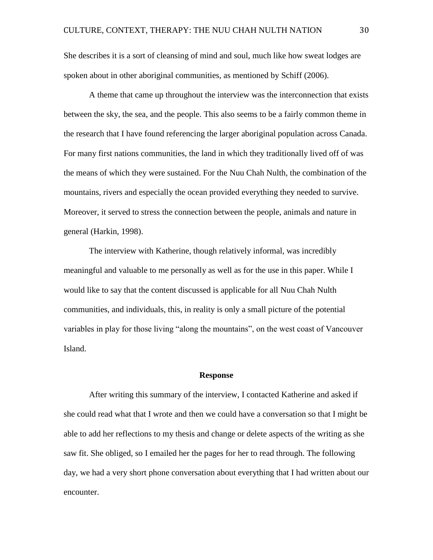She describes it is a sort of cleansing of mind and soul, much like how sweat lodges are spoken about in other aboriginal communities, as mentioned by Schiff (2006).

A theme that came up throughout the interview was the interconnection that exists between the sky, the sea, and the people. This also seems to be a fairly common theme in the research that I have found referencing the larger aboriginal population across Canada. For many first nations communities, the land in which they traditionally lived off of was the means of which they were sustained. For the Nuu Chah Nulth, the combination of the mountains, rivers and especially the ocean provided everything they needed to survive. Moreover, it served to stress the connection between the people, animals and nature in general (Harkin, 1998).

The interview with Katherine, though relatively informal, was incredibly meaningful and valuable to me personally as well as for the use in this paper. While I would like to say that the content discussed is applicable for all Nuu Chah Nulth communities, and individuals, this, in reality is only a small picture of the potential variables in play for those living "along the mountains", on the west coast of Vancouver Island.

### **Response**

After writing this summary of the interview, I contacted Katherine and asked if she could read what that I wrote and then we could have a conversation so that I might be able to add her reflections to my thesis and change or delete aspects of the writing as she saw fit. She obliged, so I emailed her the pages for her to read through. The following day, we had a very short phone conversation about everything that I had written about our encounter.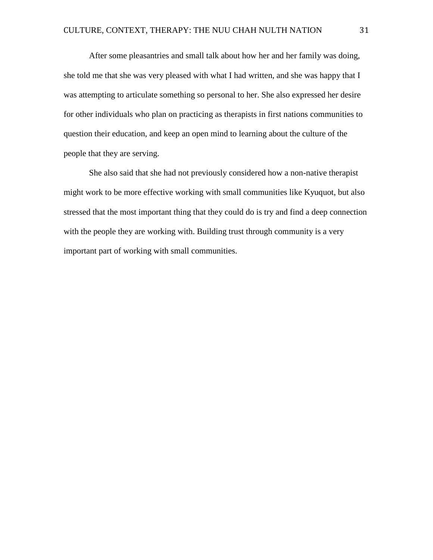After some pleasantries and small talk about how her and her family was doing, she told me that she was very pleased with what I had written, and she was happy that I was attempting to articulate something so personal to her. She also expressed her desire for other individuals who plan on practicing as therapists in first nations communities to question their education, and keep an open mind to learning about the culture of the people that they are serving.

She also said that she had not previously considered how a non-native therapist might work to be more effective working with small communities like Kyuquot, but also stressed that the most important thing that they could do is try and find a deep connection with the people they are working with. Building trust through community is a very important part of working with small communities.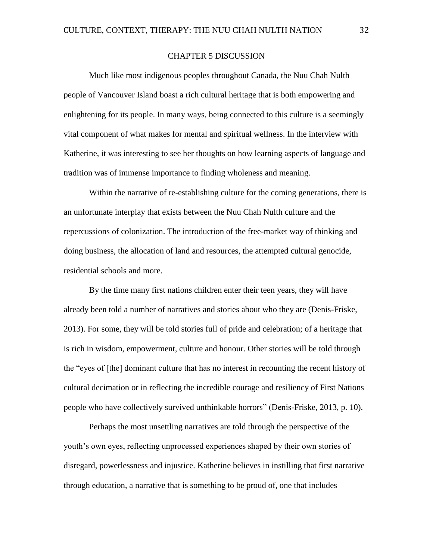# CHAPTER 5 DISCUSSION

Much like most indigenous peoples throughout Canada, the Nuu Chah Nulth people of Vancouver Island boast a rich cultural heritage that is both empowering and enlightening for its people. In many ways, being connected to this culture is a seemingly vital component of what makes for mental and spiritual wellness. In the interview with Katherine, it was interesting to see her thoughts on how learning aspects of language and tradition was of immense importance to finding wholeness and meaning.

Within the narrative of re-establishing culture for the coming generations, there is an unfortunate interplay that exists between the Nuu Chah Nulth culture and the repercussions of colonization. The introduction of the free-market way of thinking and doing business, the allocation of land and resources, the attempted cultural genocide, residential schools and more.

By the time many first nations children enter their teen years, they will have already been told a number of narratives and stories about who they are (Denis-Friske, 2013). For some, they will be told stories full of pride and celebration; of a heritage that is rich in wisdom, empowerment, culture and honour. Other stories will be told through the "eyes of [the] dominant culture that has no interest in recounting the recent history of cultural decimation or in reflecting the incredible courage and resiliency of First Nations people who have collectively survived unthinkable horrors" (Denis-Friske, 2013, p. 10).

Perhaps the most unsettling narratives are told through the perspective of the youth's own eyes, reflecting unprocessed experiences shaped by their own stories of disregard, powerlessness and injustice. Katherine believes in instilling that first narrative through education, a narrative that is something to be proud of, one that includes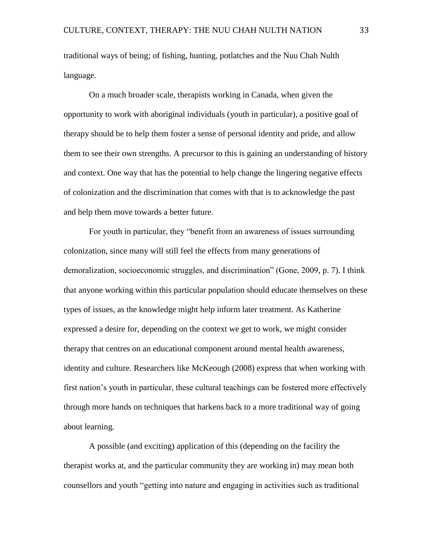traditional ways of being; of fishing, hunting, potlatches and the Nuu Chah Nulth language.

On a much broader scale, therapists working in Canada, when given the opportunity to work with aboriginal individuals (youth in particular), a positive goal of therapy should be to help them foster a sense of personal identity and pride, and allow them to see their own strengths. A precursor to this is gaining an understanding of history and context. One way that has the potential to help change the lingering negative effects of colonization and the discrimination that comes with that is to acknowledge the past and help them move towards a better future.

For youth in particular, they "benefit from an awareness of issues surrounding colonization, since many will still feel the effects from many generations of demoralization, socioeconomic struggles, and discrimination" (Gone, 2009, p. 7). I think that anyone working within this particular population should educate themselves on these types of issues, as the knowledge might help inform later treatment. As Katherine expressed a desire for, depending on the context we get to work, we might consider therapy that centres on an educational component around mental health awareness, identity and culture. Researchers like McKeough (2008) express that when working with first nation's youth in particular, these cultural teachings can be fostered more effectively through more hands on techniques that harkens back to a more traditional way of going about learning.

A possible (and exciting) application of this (depending on the facility the therapist works at, and the particular community they are working in) may mean both counsellors and youth "getting into nature and engaging in activities such as traditional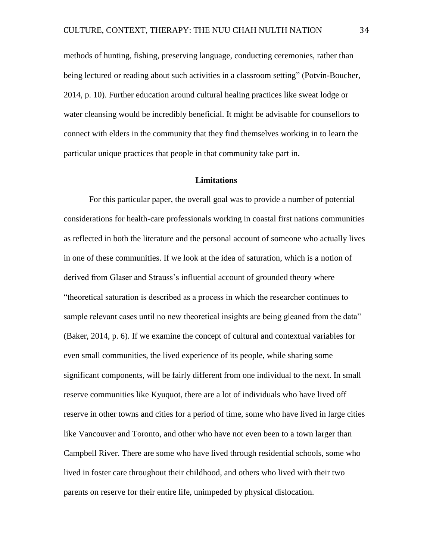methods of hunting, fishing, preserving language, conducting ceremonies, rather than being lectured or reading about such activities in a classroom setting" (Potvin-Boucher, 2014, p. 10). Further education around cultural healing practices like sweat lodge or water cleansing would be incredibly beneficial. It might be advisable for counsellors to connect with elders in the community that they find themselves working in to learn the particular unique practices that people in that community take part in.

### **Limitations**

For this particular paper, the overall goal was to provide a number of potential considerations for health-care professionals working in coastal first nations communities as reflected in both the literature and the personal account of someone who actually lives in one of these communities. If we look at the idea of saturation, which is a notion of derived from Glaser and Strauss's influential account of grounded theory where "theoretical saturation is described as a process in which the researcher continues to sample relevant cases until no new theoretical insights are being gleaned from the data" (Baker, 2014, p. 6). If we examine the concept of cultural and contextual variables for even small communities, the lived experience of its people, while sharing some significant components, will be fairly different from one individual to the next. In small reserve communities like Kyuquot, there are a lot of individuals who have lived off reserve in other towns and cities for a period of time, some who have lived in large cities like Vancouver and Toronto, and other who have not even been to a town larger than Campbell River. There are some who have lived through residential schools, some who lived in foster care throughout their childhood, and others who lived with their two parents on reserve for their entire life, unimpeded by physical dislocation.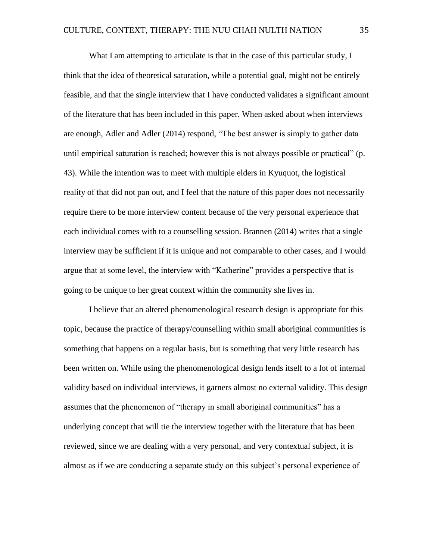What I am attempting to articulate is that in the case of this particular study, I think that the idea of theoretical saturation, while a potential goal, might not be entirely feasible, and that the single interview that I have conducted validates a significant amount of the literature that has been included in this paper. When asked about when interviews are enough, Adler and Adler (2014) respond, "The best answer is simply to gather data until empirical saturation is reached; however this is not always possible or practical" (p. 43). While the intention was to meet with multiple elders in Kyuquot, the logistical reality of that did not pan out, and I feel that the nature of this paper does not necessarily require there to be more interview content because of the very personal experience that each individual comes with to a counselling session. Brannen (2014) writes that a single interview may be sufficient if it is unique and not comparable to other cases, and I would argue that at some level, the interview with "Katherine" provides a perspective that is going to be unique to her great context within the community she lives in.

I believe that an altered phenomenological research design is appropriate for this topic, because the practice of therapy/counselling within small aboriginal communities is something that happens on a regular basis, but is something that very little research has been written on. While using the phenomenological design lends itself to a lot of internal validity based on individual interviews, it garners almost no external validity. This design assumes that the phenomenon of "therapy in small aboriginal communities" has a underlying concept that will tie the interview together with the literature that has been reviewed, since we are dealing with a very personal, and very contextual subject, it is almost as if we are conducting a separate study on this subject's personal experience of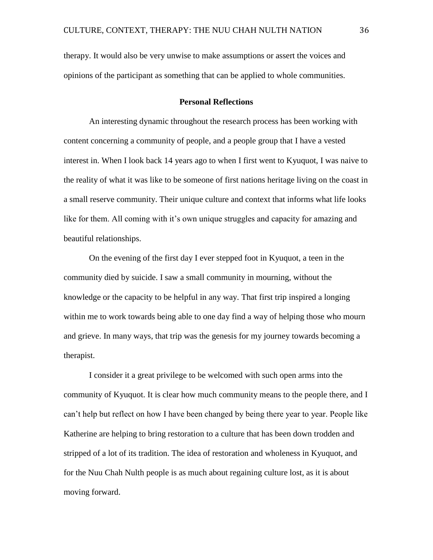therapy. It would also be very unwise to make assumptions or assert the voices and opinions of the participant as something that can be applied to whole communities.

# **Personal Reflections**

An interesting dynamic throughout the research process has been working with content concerning a community of people, and a people group that I have a vested interest in. When I look back 14 years ago to when I first went to Kyuquot, I was naive to the reality of what it was like to be someone of first nations heritage living on the coast in a small reserve community. Their unique culture and context that informs what life looks like for them. All coming with it's own unique struggles and capacity for amazing and beautiful relationships.

On the evening of the first day I ever stepped foot in Kyuquot, a teen in the community died by suicide. I saw a small community in mourning, without the knowledge or the capacity to be helpful in any way. That first trip inspired a longing within me to work towards being able to one day find a way of helping those who mourn and grieve. In many ways, that trip was the genesis for my journey towards becoming a therapist.

I consider it a great privilege to be welcomed with such open arms into the community of Kyuquot. It is clear how much community means to the people there, and I can't help but reflect on how I have been changed by being there year to year. People like Katherine are helping to bring restoration to a culture that has been down trodden and stripped of a lot of its tradition. The idea of restoration and wholeness in Kyuquot, and for the Nuu Chah Nulth people is as much about regaining culture lost, as it is about moving forward.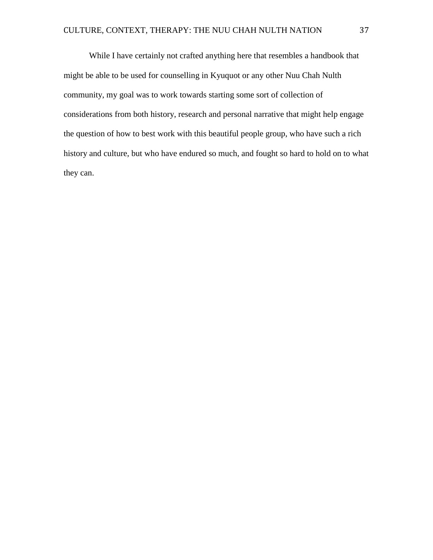While I have certainly not crafted anything here that resembles a handbook that might be able to be used for counselling in Kyuquot or any other Nuu Chah Nulth community, my goal was to work towards starting some sort of collection of considerations from both history, research and personal narrative that might help engage the question of how to best work with this beautiful people group, who have such a rich history and culture, but who have endured so much, and fought so hard to hold on to what they can.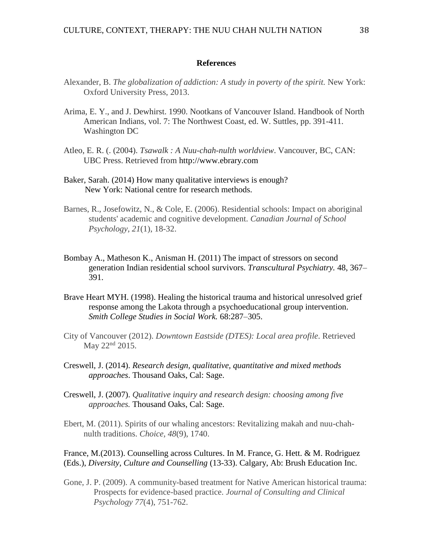### **References**

- Alexander, B. *The globalization of addiction: A study in poverty of the spirit.* New York: Oxford University Press, 2013.
- Arima, E. Y., and J. Dewhirst. 1990. Nootkans of Vancouver Island. Handbook of North American Indians, vol. 7: The Northwest Coast, ed. W. Suttles, pp. 391-411. Washington DC
- Atleo, E. R. (. (2004). *Tsawalk : A Nuu-chah-nulth worldview*. Vancouver, BC, CAN: UBC Press. Retrieved from [http://www.ebrary.com](http://www.ebrary.com/)
- Baker, Sarah. (2014) How many qualitative interviews is enough? New York: National centre for research methods.
- Barnes, R., Josefowitz, N., & Cole, E. (2006). Residential schools: Impact on aboriginal students' academic and cognitive development. *Canadian Journal of School Psychology, 21*(1), 18-32.
- Bombay A., Matheson K., Anisman H. (2011) The impact of stressors on second generation Indian residential school survivors. *Transcultural Psychiatry.* 48, 367– 391.
- Brave Heart MYH. (1998). Healing the historical trauma and historical unresolved grief response among the Lakota through a psychoeducational group intervention. *Smith College Studies in Social Work.* 68:287–305.
- City of Vancouver (2012). *Downtown Eastside (DTES): Local area profile*. Retrieved May 22<sup>nd</sup> 2015.
- Creswell, J. (2014). *Research design, qualitative, quantitative and mixed methods approaches*. Thousand Oaks, Cal: Sage.
- Creswell, J. (2007). *Qualitative inquiry and research design: choosing among five approaches.* Thousand Oaks, Cal: Sage.
- Ebert, M. (2011). Spirits of our whaling ancestors: Revitalizing makah and nuu-chahnulth traditions. *Choice, 48*(9), 1740.

France, M.(2013). Counselling across Cultures. In M. France, G. Hett. & M. Rodriguez (Eds.), *Diversity, Culture and Counselling* (13-33). Calgary, Ab: Brush Education Inc.

Gone, J. P. (2009). A community-based treatment for Native American historical trauma: Prospects for evidence-based practice. *Journal of Consulting and Clinical Psychology 77*(4), 751-762.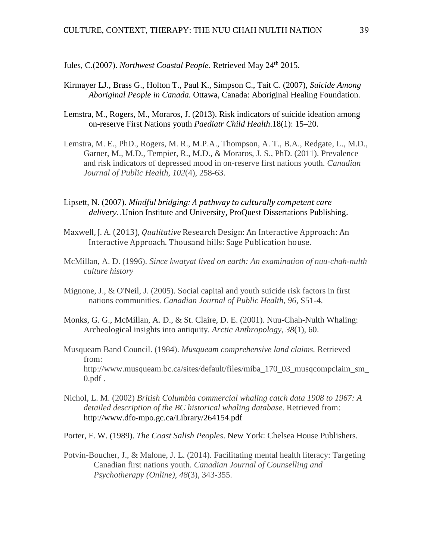Jules, C.(2007). *Northwest Coastal People*. Retrieved May 24<sup>th</sup> 2015.

- Kirmayer LJ., Brass G., Holton T., Paul K., Simpson C., Tait C. (2007), *Suicide Among Aboriginal People in Canada.* Ottawa, Canada: Aboriginal Healing Foundation.
- Lemstra, M., Rogers, M., Moraros, J. (2013). [Risk indicators of suicide ideation among](http://www.ncbi.nlm.nih.gov/pmc/articles/PMC3680266/)  [on-reserve First Nations youth](http://www.ncbi.nlm.nih.gov/pmc/articles/PMC3680266/) *Paediatr Child Health*.18(1): 15–20.
- Lemstra, M. E., PhD., Rogers, M. R., M.P.A., Thompson, A. T., B.A., Redgate, L., M.D., Garner, M., M.D., Tempier, R., M.D., & Moraros, J. S., PhD. (2011). Prevalence and risk indicators of depressed mood in on-reserve first nations youth. *Canadian Journal of Public Health, 102*(4), 258-63.
- [Lipsett, N.](http://search.proquest.com.proxy.cityu.edu/indexinglinkhandler/sng/au/Lipsett,+Nancy/$N?accountid=1230) (2007). *Mindful bridging: A pathway to culturally competent care delivery. .*Union Institute and University, ProQuest Dissertations Publishing.
- Maxwell, J. A. (2013), *Qualitative* Research Design: An Interactive Approach: An Interactive Approach. Thousand hills: Sage Publication house.
- McMillan, A. D. (1996). *Since kwatyat lived on earth: An examination of nuu-chah-nulth culture history*
- Mignone, J., & O'Neil, J. (2005). Social capital and youth suicide risk factors in first nations communities. *Canadian Journal of Public Health, 96*, S51-4.
- Monks, G. G., McMillan, A. D., & St. Claire, D. E. (2001). Nuu-Chah-Nulth Whaling: Archeological insights into antiquity. *Arctic Anthropology*, *38*(1), 60.
- Musqueam Band Council. (1984). *Musqueam comprehensive land claims.* Retrieved from: http://www.musqueam.bc.ca/sites/default/files/miba\_170\_03\_musqcompclaim\_sm\_  $0.$ pdf.
- Nichol, L. M. (2002) *British Columbia commercial whaling catch data 1908 to 1967: A detailed description of the BC historical whaling database*. Retrieved from: http://www.dfo-mpo.gc.ca/Library/264154.pdf
- Porter, F. W. (1989). *The Coast Salish Peoples*. New York: Chelsea House Publishers.
- Potvin-Boucher, J., & Malone, J. L. (2014). Facilitating mental health literacy: Targeting Canadian first nations youth. *Canadian Journal of Counselling and Psychotherapy (Online), 48*(3), 343-355.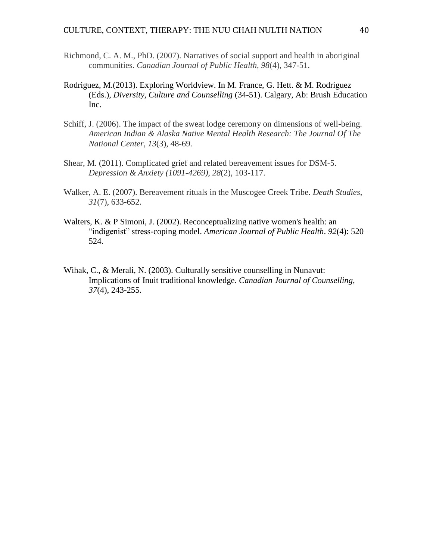- Richmond, C. A. M., PhD. (2007). Narratives of social support and health in aboriginal communities. *Canadian Journal of Public Health, 98*(4), 347-51.
- Rodriguez, M.(2013). Exploring Worldview. In M. France, G. Hett. & M. Rodriguez (Eds.), *Diversity, Culture and Counselling* (34-51). Calgary, Ab: Brush Education Inc.
- Schiff, J. (2006). The impact of the sweat lodge ceremony on dimensions of well-being. *American Indian & Alaska Native Mental Health Research: The Journal Of The National Center*, *13*(3), 48-69.
- Shear, M. (2011). Complicated grief and related bereavement issues for DSM-5. *Depression & Anxiety (1091-4269)*, *28*(2), 103-117.
- Walker, A. E. (2007). Bereavement rituals in the Muscogee Creek Tribe. *Death Studies*, *31*(7), 633-652.
- Walters, K. & P Simoni, J. (2002). Reconceptualizing native women's health: an "indigenist" stress-coping model. *American Journal of Public Health*. *92*(4): 520– 524.
- Wihak, C., & Merali, N. (2003). Culturally sensitive counselling in Nunavut: Implications of Inuit traditional knowledge. *Canadian Journal of Counselling, 37*(4), 243-255.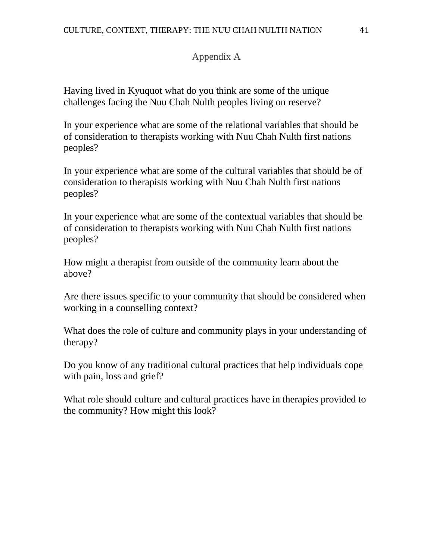# Appendix A

Having lived in Kyuquot what do you think are some of the unique challenges facing the Nuu Chah Nulth peoples living on reserve?

In your experience what are some of the relational variables that should be of consideration to therapists working with Nuu Chah Nulth first nations peoples?

In your experience what are some of the cultural variables that should be of consideration to therapists working with Nuu Chah Nulth first nations peoples?

In your experience what are some of the contextual variables that should be of consideration to therapists working with Nuu Chah Nulth first nations peoples?

How might a therapist from outside of the community learn about the above?

Are there issues specific to your community that should be considered when working in a counselling context?

What does the role of culture and community plays in your understanding of therapy?

Do you know of any traditional cultural practices that help individuals cope with pain, loss and grief?

What role should culture and cultural practices have in therapies provided to the community? How might this look?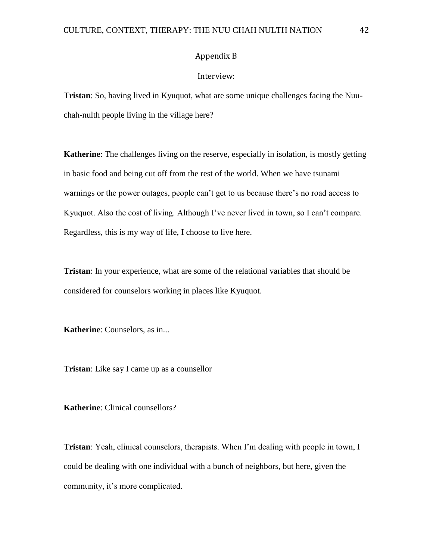# Appendix B

### Interview:

**Tristan**: So, having lived in Kyuquot, what are some unique challenges facing the Nuuchah-nulth people living in the village here?

**Katherine**: The challenges living on the reserve, especially in isolation, is mostly getting in basic food and being cut off from the rest of the world. When we have tsunami warnings or the power outages, people can't get to us because there's no road access to Kyuquot. Also the cost of living. Although I've never lived in town, so I can't compare. Regardless, this is my way of life, I choose to live here.

**Tristan**: In your experience, what are some of the relational variables that should be considered for counselors working in places like Kyuquot.

**Katherine**: Counselors, as in...

**Tristan**: Like say I came up as a counsellor

**Katherine**: Clinical counsellors?

**Tristan**: Yeah, clinical counselors, therapists. When I'm dealing with people in town, I could be dealing with one individual with a bunch of neighbors, but here, given the community, it's more complicated.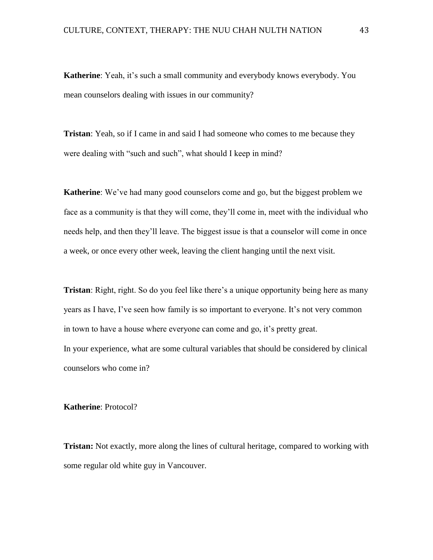**Katherine**: Yeah, it's such a small community and everybody knows everybody. You mean counselors dealing with issues in our community?

**Tristan**: Yeah, so if I came in and said I had someone who comes to me because they were dealing with "such and such", what should I keep in mind?

**Katherine**: We've had many good counselors come and go, but the biggest problem we face as a community is that they will come, they'll come in, meet with the individual who needs help, and then they'll leave. The biggest issue is that a counselor will come in once a week, or once every other week, leaving the client hanging until the next visit.

**Tristan**: Right, right. So do you feel like there's a unique opportunity being here as many years as I have, I've seen how family is so important to everyone. It's not very common in town to have a house where everyone can come and go, it's pretty great. In your experience, what are some cultural variables that should be considered by clinical counselors who come in?

**Katherine**: Protocol?

**Tristan:** Not exactly, more along the lines of cultural heritage, compared to working with some regular old white guy in Vancouver.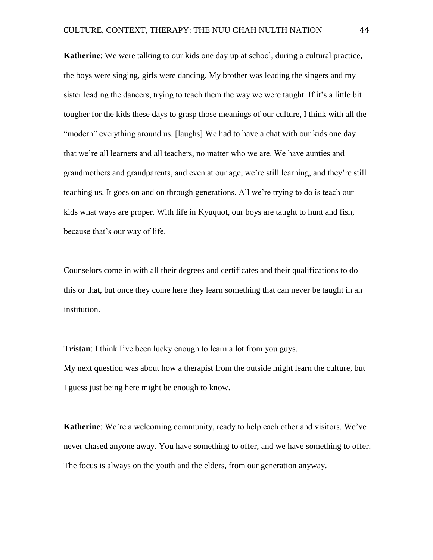**Katherine**: We were talking to our kids one day up at school, during a cultural practice, the boys were singing, girls were dancing. My brother was leading the singers and my sister leading the dancers, trying to teach them the way we were taught. If it's a little bit tougher for the kids these days to grasp those meanings of our culture, I think with all the "modern" everything around us. [laughs] We had to have a chat with our kids one day that we're all learners and all teachers, no matter who we are. We have aunties and grandmothers and grandparents, and even at our age, we're still learning, and they're still teaching us. It goes on and on through generations. All we're trying to do is teach our kids what ways are proper. With life in Kyuquot, our boys are taught to hunt and fish, because that's our way of life.

Counselors come in with all their degrees and certificates and their qualifications to do this or that, but once they come here they learn something that can never be taught in an institution.

**Tristan**: I think I've been lucky enough to learn a lot from you guys. My next question was about how a therapist from the outside might learn the culture, but I guess just being here might be enough to know.

**Katherine**: We're a welcoming community, ready to help each other and visitors. We've never chased anyone away. You have something to offer, and we have something to offer. The focus is always on the youth and the elders, from our generation anyway.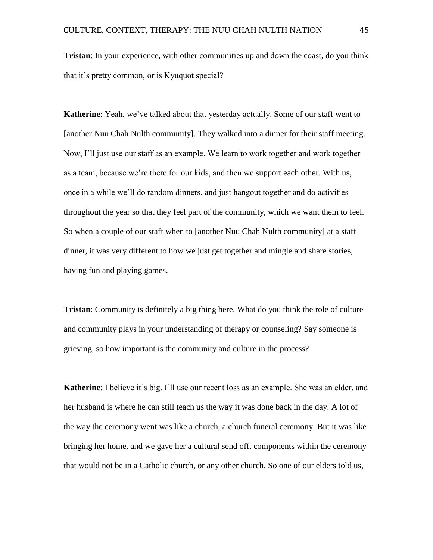**Tristan**: In your experience, with other communities up and down the coast, do you think that it's pretty common, or is Kyuquot special?

**Katherine**: Yeah, we've talked about that yesterday actually. Some of our staff went to [another Nuu Chah Nulth community]. They walked into a dinner for their staff meeting. Now, I'll just use our staff as an example. We learn to work together and work together as a team, because we're there for our kids, and then we support each other. With us, once in a while we'll do random dinners, and just hangout together and do activities throughout the year so that they feel part of the community, which we want them to feel. So when a couple of our staff when to [another Nuu Chah Nulth community] at a staff dinner, it was very different to how we just get together and mingle and share stories, having fun and playing games.

**Tristan**: Community is definitely a big thing here. What do you think the role of culture and community plays in your understanding of therapy or counseling? Say someone is grieving, so how important is the community and culture in the process?

**Katherine**: I believe it's big. I'll use our recent loss as an example. She was an elder, and her husband is where he can still teach us the way it was done back in the day. A lot of the way the ceremony went was like a church, a church funeral ceremony. But it was like bringing her home, and we gave her a cultural send off, components within the ceremony that would not be in a Catholic church, or any other church. So one of our elders told us,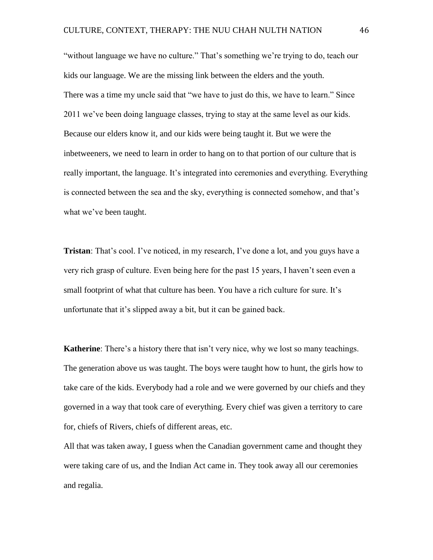"without language we have no culture." That's something we're trying to do, teach our kids our language. We are the missing link between the elders and the youth. There was a time my uncle said that "we have to just do this, we have to learn." Since 2011 we've been doing language classes, trying to stay at the same level as our kids. Because our elders know it, and our kids were being taught it. But we were the inbetweeners, we need to learn in order to hang on to that portion of our culture that is really important, the language. It's integrated into ceremonies and everything. Everything is connected between the sea and the sky, everything is connected somehow, and that's what we've been taught.

**Tristan**: That's cool. I've noticed, in my research, I've done a lot, and you guys have a very rich grasp of culture. Even being here for the past 15 years, I haven't seen even a small footprint of what that culture has been. You have a rich culture for sure. It's unfortunate that it's slipped away a bit, but it can be gained back.

**Katherine**: There's a history there that isn't very nice, why we lost so many teachings. The generation above us was taught. The boys were taught how to hunt, the girls how to take care of the kids. Everybody had a role and we were governed by our chiefs and they governed in a way that took care of everything. Every chief was given a territory to care for, chiefs of Rivers, chiefs of different areas, etc.

All that was taken away, I guess when the Canadian government came and thought they were taking care of us, and the Indian Act came in. They took away all our ceremonies and regalia.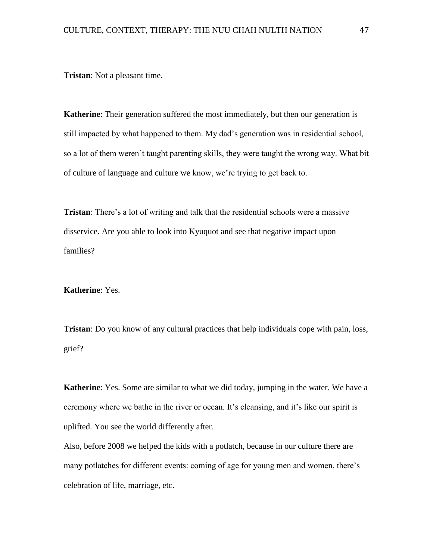**Tristan**: Not a pleasant time.

**Katherine**: Their generation suffered the most immediately, but then our generation is still impacted by what happened to them. My dad's generation was in residential school, so a lot of them weren't taught parenting skills, they were taught the wrong way. What bit of culture of language and culture we know, we're trying to get back to.

**Tristan**: There's a lot of writing and talk that the residential schools were a massive disservice. Are you able to look into Kyuquot and see that negative impact upon families?

**Katherine**: Yes.

**Tristan**: Do you know of any cultural practices that help individuals cope with pain, loss, grief?

**Katherine**: Yes. Some are similar to what we did today, jumping in the water. We have a ceremony where we bathe in the river or ocean. It's cleansing, and it's like our spirit is uplifted. You see the world differently after.

Also, before 2008 we helped the kids with a potlatch, because in our culture there are many potlatches for different events: coming of age for young men and women, there's celebration of life, marriage, etc.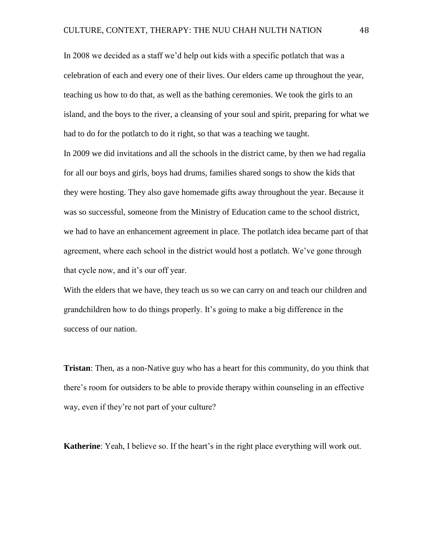In 2008 we decided as a staff we'd help out kids with a specific potlatch that was a celebration of each and every one of their lives. Our elders came up throughout the year, teaching us how to do that, as well as the bathing ceremonies. We took the girls to an island, and the boys to the river, a cleansing of your soul and spirit, preparing for what we had to do for the potlatch to do it right, so that was a teaching we taught. In 2009 we did invitations and all the schools in the district came, by then we had regalia for all our boys and girls, boys had drums, families shared songs to show the kids that they were hosting. They also gave homemade gifts away throughout the year. Because it was so successful, someone from the Ministry of Education came to the school district, we had to have an enhancement agreement in place. The potlatch idea became part of that

agreement, where each school in the district would host a potlatch. We've gone through that cycle now, and it's our off year.

With the elders that we have, they teach us so we can carry on and teach our children and grandchildren how to do things properly. It's going to make a big difference in the success of our nation.

**Tristan**: Then, as a non-Native guy who has a heart for this community, do you think that there's room for outsiders to be able to provide therapy within counseling in an effective way, even if they're not part of your culture?

**Katherine**: Yeah, I believe so. If the heart's in the right place everything will work out.